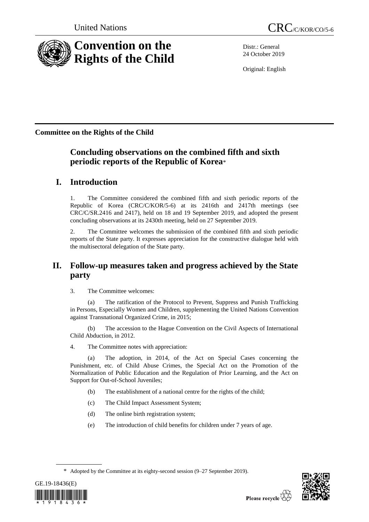

Distr.: General 24 October 2019

Original: English

**Committee on the Rights of the Child**

# **Concluding observations on the combined fifth and sixth periodic reports of the Republic of Korea**\*

# **I. Introduction**

1. The Committee considered the combined fifth and sixth periodic reports of the Republic of Korea (CRC/C/KOR/5-6) at its 2416th and 2417th meetings (see CRC/C/SR.2416 and 2417), held on 18 and 19 September 2019, and adopted the present concluding observations at its 2430th meeting, held on 27 September 2019.

2. The Committee welcomes the submission of the combined fifth and sixth periodic reports of the State party. It expresses appreciation for the constructive dialogue held with the multisectoral delegation of the State party.

# **II. Follow-up measures taken and progress achieved by the State party**

3. The Committee welcomes:

The ratification of the Protocol to Prevent, Suppress and Punish Trafficking in Persons, Especially Women and Children, supplementing the United Nations Convention against Transnational Organized Crime, in 2015;

(b) The accession to the Hague Convention on the Civil Aspects of International Child Abduction, in 2012.

4. The Committee notes with appreciation:

(a) The adoption, in 2014, of the Act on Special Cases concerning the Punishment, etc. of Child Abuse Crimes, the Special Act on the Promotion of the Normalization of Public Education and the Regulation of Prior Learning, and the Act on Support for Out-of-School Juveniles;

- (b) The establishment of a national centre for the rights of the child;
- (c) The Child Impact Assessment System;
- (d) The online birth registration system;
- (e) The introduction of child benefits for children under 7 years of age.

<sup>\*</sup> Adopted by the Committee at its eighty-second session (9–27 September 2019).



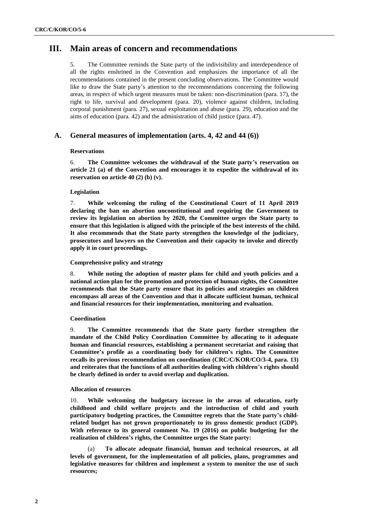## **III. Main areas of concern and recommendations**

5. The Committee reminds the State party of the indivisibility and interdependence of all the rights enshrined in the Convention and emphasizes the importance of all the recommendations contained in the present concluding observations. The Committee would like to draw the State party's attention to the recommendations concerning the following areas, in respect of which urgent measures must be taken: non-discrimination (para. 17), the right to life, survival and development (para. 20), violence against children, including corporal punishment (para. 27), sexual exploitation and abuse (para. 29), education and the aims of education (para. 42) and the administration of child justice (para. 47).

## **A. General measures of implementation (arts. 4, 42 and 44 (6))**

#### **Reservations**

6. **The Committee welcomes the withdrawal of the State party's reservation on article 21 (a) of the Convention and encourages it to expedite the withdrawal of its reservation on article 40 (2) (b) (v).**

#### **Legislation**

7. **While welcoming the ruling of the Constitutional Court of 11 April 2019 declaring the ban on abortion unconstitutional and requiring the Government to review its legislation on abortion by 2020, the Committee urges the State party to ensure that this legislation is aligned with the principle of the best interests of the child. It also recommends that the State party strengthen the knowledge of the judiciary, prosecutors and lawyers on the Convention and their capacity to invoke and directly apply it in court proceedings.**

## **Comprehensive policy and strategy**

8. **While noting the adoption of master plans for child and youth policies and a national action plan for the promotion and protection of human rights, the Committee recommends that the State party ensure that its policies and strategies on children encompass all areas of the Convention and that it allocate sufficient human, technical and financial resources for their implementation, monitoring and evaluation.** 

#### **Coordination**

9. **The Committee recommends that the State party further strengthen the mandate of the Child Policy Coordination Committee by allocating to it adequate human and financial resources, establishing a permanent secretariat and raising that Committee's profile as a coordinating body for children's rights. The Committee recalls its previous recommendation on coordination (CRC/C/KOR/CO/3-4, para. 13) and reiterates that the functions of all authorities dealing with children's rights should be clearly defined in order to avoid overlap and duplication.** 

#### **Allocation of resources**

10. **While welcoming the budgetary increase in the areas of education, early childhood and child welfare projects and the introduction of child and youth participatory budgeting practices, the Committee regrets that the State party's childrelated budget has not grown proportionately to its gross domestic product (GDP). With reference to its general comment No. 19 (2016) on public budgeting for the realization of children's rights, the Committee urges the State party:** 

(a) **To allocate adequate financial, human and technical resources, at all levels of government, for the implementation of all policies, plans, programmes and legislative measures for children and implement a system to monitor the use of such resources;**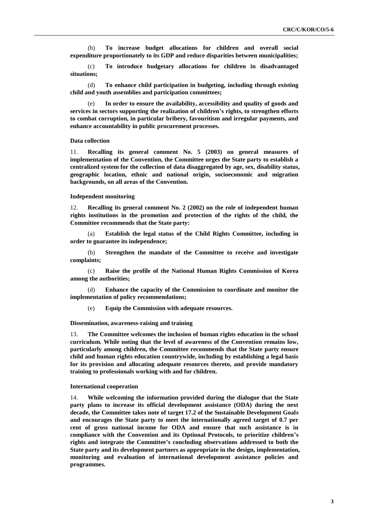(b) **To increase budget allocations for children and overall social expenditure proportionately to its GDP and reduce disparities between municipalities;** 

(c) **To introduce budgetary allocations for children in disadvantaged situations;**

(d) **To enhance child participation in budgeting, including through existing child and youth assemblies and participation committees;**

(e) **In order to ensure the availability, accessibility and quality of goods and services in sectors supporting the realization of children's rights, to strengthen efforts to combat corruption, in particular bribery, favouritism and irregular payments, and enhance accountability in public procurement processes.** 

#### **Data collection**

11. **Recalling its general comment No. 5 (2003) on general measures of implementation of the Convention, the Committee urges the State party to establish a centralized system for the collection of data disaggregated by age, sex, disability status, geographic location, ethnic and national origin, socioeconomic and migration backgrounds, on all areas of the Convention.** 

#### **Independent monitoring**

12. **Recalling its general comment No. 2 (2002) on the role of independent human rights institutions in the promotion and protection of the rights of the child, the Committee recommends that the State party:** 

(a) **Establish the legal status of the Child Rights Committee, including in order to guarantee its independence;** 

(b) **Strengthen the mandate of the Committee to receive and investigate complaints;** 

(c) **Raise the profile of the National Human Rights Commission of Korea among the authorities;**

(d) **Enhance the capacity of the Commission to coordinate and monitor the implementation of policy recommendations;** 

(e) **Equip the Commission with adequate resources.**

#### **Dissemination, awareness-raising and training**

13. **The Committee welcomes the inclusion of human rights education in the school curriculum. While noting that the level of awareness of the Convention remains low, particularly among children, the Committee recommends that the State party ensure child and human rights education countrywide, including by establishing a legal basis for its provision and allocating adequate resources thereto, and provide mandatory training to professionals working with and for children.**

#### **International cooperation**

14. **While welcoming the information provided during the dialogue that the State party plans to increase its official development assistance (ODA) during the next decade, the Committee takes note of target 17.2 of the Sustainable Development Goals and encourages the State party to meet the internationally agreed target of 0.7 per cent of gross national income for ODA and ensure that such assistance is in compliance with the Convention and its Optional Protocols, to prioritize children's rights and integrate the Committee's concluding observations addressed to both the State party and its development partners as appropriate in the design, implementation, monitoring and evaluation of international development assistance policies and programmes.**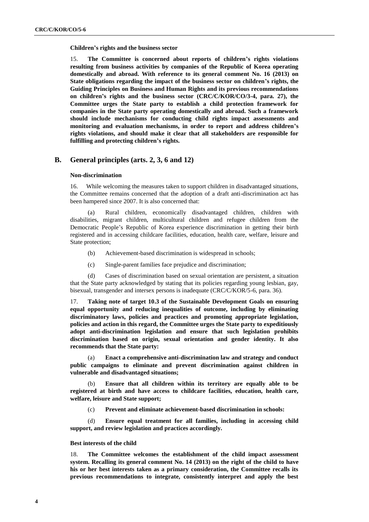**Children's rights and the business sector** 

15. **The Committee is concerned about reports of children's rights violations resulting from business activities by companies of the Republic of Korea operating domestically and abroad. With reference to its general comment No. 16 (2013) on State obligations regarding the impact of the business sector on children's rights, the Guiding Principles on Business and Human Rights and its previous recommendations on children's rights and the business sector (CRC/C/KOR/CO/3-4, para. 27), the Committee urges the State party to establish a child protection framework for companies in the State party operating domestically and abroad. Such a framework should include mechanisms for conducting child rights impact assessments and monitoring and evaluation mechanisms, in order to report and address children's rights violations, and should make it clear that all stakeholders are responsible for fulfilling and protecting children's rights.**

## **B. General principles (arts. 2, 3, 6 and 12)**

#### **Non-discrimination**

16. While welcoming the measures taken to support children in disadvantaged situations, the Committee remains concerned that the adoption of a draft anti-discrimination act has been hampered since 2007. It is also concerned that:

(a) Rural children, economically disadvantaged children, children with disabilities, migrant children, multicultural children and refugee children from the Democratic People's Republic of Korea experience discrimination in getting their birth registered and in accessing childcare facilities, education, health care, welfare, leisure and State protection;

- (b) Achievement-based discrimination is widespread in schools;
- (c) Single-parent families face prejudice and discrimination;

(d) Cases of discrimination based on sexual orientation are persistent, a situation that the State party acknowledged by stating that its policies regarding young lesbian, gay, bisexual, transgender and intersex persons is inadequate (CRC/C/KOR/5-6, para. 36).

17. **Taking note of target 10.3 of the Sustainable Development Goals on ensuring equal opportunity and reducing inequalities of outcome, including by eliminating discriminatory laws, policies and practices and promoting appropriate legislation, policies and action in this regard, the Committee urges the State party to expeditiously adopt anti-discrimination legislation and ensure that such legislation prohibits discrimination based on origin, sexual orientation and gender identity. It also recommends that the State party:**

(a) **Enact a comprehensive anti-discrimination law and strategy and conduct public campaigns to eliminate and prevent discrimination against children in vulnerable and disadvantaged situations;**

(b) **Ensure that all children within its territory are equally able to be registered at birth and have access to childcare facilities, education, health care, welfare, leisure and State support;**

(c) **Prevent and eliminate achievement-based discrimination in schools:** 

(d) **Ensure equal treatment for all families, including in accessing child support, and review legislation and practices accordingly.**

#### **Best interests of the child**

18. **The Committee welcomes the establishment of the child impact assessment system. Recalling its general comment No. 14 (2013) on the right of the child to have his or her best interests taken as a primary consideration, the Committee recalls its previous recommendations to integrate, consistently interpret and apply the best**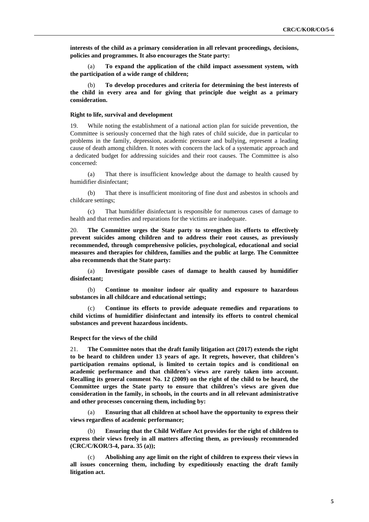**interests of the child as a primary consideration in all relevant proceedings, decisions, policies and programmes. It also encourages the State party:**

(a) **To expand the application of the child impact assessment system, with the participation of a wide range of children;**

(b) **To develop procedures and criteria for determining the best interests of the child in every area and for giving that principle due weight as a primary consideration.**

#### **Right to life, survival and development**

19. While noting the establishment of a national action plan for suicide prevention, the Committee is seriously concerned that the high rates of child suicide, due in particular to problems in the family, depression, academic pressure and bullying, represent a leading cause of death among children. It notes with concern the lack of a systematic approach and a dedicated budget for addressing suicides and their root causes. The Committee is also concerned:

(a) That there is insufficient knowledge about the damage to health caused by humidifier disinfectant;

(b) That there is insufficient monitoring of fine dust and asbestos in schools and childcare settings;

(c) That humidifier disinfectant is responsible for numerous cases of damage to health and that remedies and reparations for the victims are inadequate.

20. **The Committee urges the State party to strengthen its efforts to effectively prevent suicides among children and to address their root causes, as previously recommended, through comprehensive policies, psychological, educational and social measures and therapies for children, families and the public at large. The Committee also recommends that the State party:**

(a) **Investigate possible cases of damage to health caused by humidifier disinfectant;**

(b) **Continue to monitor indoor air quality and exposure to hazardous substances in all childcare and educational settings;**

(c) **Continue its efforts to provide adequate remedies and reparations to child victims of humidifier disinfectant and intensify its efforts to control chemical substances and prevent hazardous incidents.**

#### **Respect for the views of the child**

21. **The Committee notes that the draft family litigation act (2017) extends the right to be heard to children under 13 years of age. It regrets, however, that children's participation remains optional, is limited to certain topics and is conditional on academic performance and that children's views are rarely taken into account. Recalling its general comment No. 12 (2009) on the right of the child to be heard, the Committee urges the State party to ensure that children's views are given due consideration in the family, in schools, in the courts and in all relevant administrative and other processes concerning them, including by:** 

(a) **Ensuring that all children at school have the opportunity to express their views regardless of academic performance;**

**Ensuring that the Child Welfare Act provides for the right of children to express their views freely in all matters affecting them, as previously recommended (CRC/C/KOR/3-4, para. 35 (a));**

(c) **Abolishing any age limit on the right of children to express their views in all issues concerning them, including by expeditiously enacting the draft family litigation act.**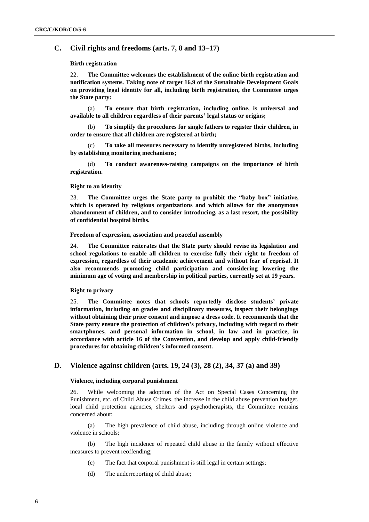## **C. Civil rights and freedoms (arts. 7, 8 and 13–17)**

## **Birth registration**

22. **The Committee welcomes the establishment of the online birth registration and notification systems. Taking note of target 16.9 of the Sustainable Development Goals on providing legal identity for all, including birth registration, the Committee urges the State party:**

(a) **To ensure that birth registration, including online, is universal and available to all children regardless of their parents' legal status or origins;**

(b) **To simplify the procedures for single fathers to register their children, in order to ensure that all children are registered at birth;** 

(c) **To take all measures necessary to identify unregistered births, including by establishing monitoring mechanisms;** 

(d) **To conduct awareness-raising campaigns on the importance of birth registration.**

#### **Right to an identity**

23. **The Committee urges the State party to prohibit the "baby box" initiative, which is operated by religious organizations and which allows for the anonymous abandonment of children, and to consider introducing, as a last resort, the possibility of confidential hospital births.**

**Freedom of expression, association and peaceful assembly**

24. **The Committee reiterates that the State party should revise its legislation and school regulations to enable all children to exercise fully their right to freedom of expression, regardless of their academic achievement and without fear of reprisal. It also recommends promoting child participation and considering lowering the minimum age of voting and membership in political parties, currently set at 19 years.**

#### **Right to privacy**

25. **The Committee notes that schools reportedly disclose students' private information, including on grades and disciplinary measures, inspect their belongings without obtaining their prior consent and impose a dress code. It recommends that the State party ensure the protection of children's privacy, including with regard to their smartphones, and personal information in school, in law and in practice, in accordance with article 16 of the Convention, and develop and apply child-friendly procedures for obtaining children's informed consent.**

## **D. Violence against children (arts. 19, 24 (3), 28 (2), 34, 37 (a) and 39)**

#### **Violence, including corporal punishment**

26. While welcoming the adoption of the Act on Special Cases Concerning the Punishment, etc. of Child Abuse Crimes, the increase in the child abuse prevention budget, local child protection agencies, shelters and psychotherapists, the Committee remains concerned about:

(a) The high prevalence of child abuse, including through online violence and violence in schools;

(b) The high incidence of repeated child abuse in the family without effective measures to prevent reoffending;

- (c) The fact that corporal punishment is still legal in certain settings;
- (d) The underreporting of child abuse;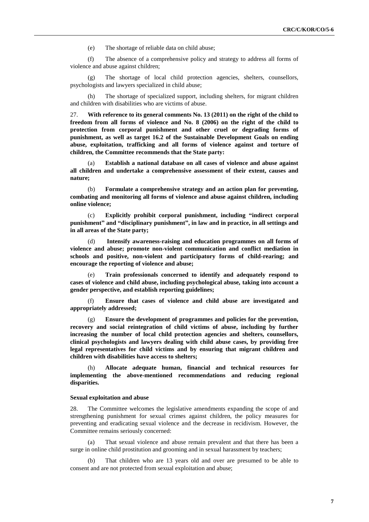(e) The shortage of reliable data on child abuse;

(f) The absence of a comprehensive policy and strategy to address all forms of violence and abuse against children;

(g) The shortage of local child protection agencies, shelters, counsellors, psychologists and lawyers specialized in child abuse;

The shortage of specialized support, including shelters, for migrant children and children with disabilities who are victims of abuse.

27. **With reference to its general comments No. 13 (2011) on the right of the child to freedom from all forms of violence and No. 8 (2006) on the right of the child to protection from corporal punishment and other cruel or degrading forms of punishment, as well as target 16.2 of the Sustainable Development Goals on ending abuse, exploitation, trafficking and all forms of violence against and torture of children, the Committee recommends that the State party:**

(a) **Establish a national database on all cases of violence and abuse against all children and undertake a comprehensive assessment of their extent, causes and nature;** 

(b) **Formulate a comprehensive strategy and an action plan for preventing, combating and monitoring all forms of violence and abuse against children, including online violence;**

(c) **Explicitly prohibit corporal punishment, including "indirect corporal punishment" and "disciplinary punishment", in law and in practice, in all settings and in all areas of the State party;** 

(d) **Intensify awareness-raising and education programmes on all forms of violence and abuse; promote non-violent communication and conflict mediation in schools and positive, non-violent and participatory forms of child-rearing; and encourage the reporting of violence and abuse;**

Train professionals concerned to identify and adequately respond to **cases of violence and child abuse, including psychological abuse, taking into account a gender perspective, and establish reporting guidelines;** 

(f) **Ensure that cases of violence and child abuse are investigated and appropriately addressed;**

(g) **Ensure the development of programmes and policies for the prevention, recovery and social reintegration of child victims of abuse, including by further increasing the number of local child protection agencies and shelters, counsellors, clinical psychologists and lawyers dealing with child abuse cases, by providing free legal representatives for child victims and by ensuring that migrant children and children with disabilities have access to shelters;**

(h) **Allocate adequate human, financial and technical resources for implementing the above-mentioned recommendations and reducing regional disparities.**

#### **Sexual exploitation and abuse**

28. The Committee welcomes the legislative amendments expanding the scope of and strengthening punishment for sexual crimes against children, the policy measures for preventing and eradicating sexual violence and the decrease in recidivism. However, the Committee remains seriously concerned:

(a) That sexual violence and abuse remain prevalent and that there has been a surge in online child prostitution and grooming and in sexual harassment by teachers;

(b) That children who are 13 years old and over are presumed to be able to consent and are not protected from sexual exploitation and abuse;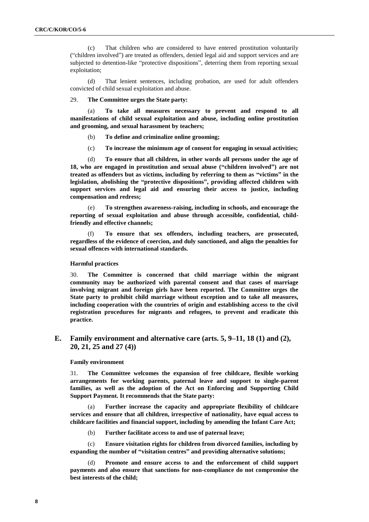(c) That children who are considered to have entered prostitution voluntarily ("children involved") are treated as offenders, denied legal aid and support services and are subjected to detention-like "protective dispositions", deterring them from reporting sexual exploitation;

(d) That lenient sentences, including probation, are used for adult offenders convicted of child sexual exploitation and abuse.

#### 29. **The Committee urges the State party:**

To take all measures necessary to prevent and respond to all **manifestations of child sexual exploitation and abuse, including online prostitution and grooming, and sexual harassment by teachers;** 

- (b) **To define and criminalize online grooming;**
- (c) **To increase the minimum age of consent for engaging in sexual activities;**

(d) **To ensure that all children, in other words all persons under the age of 18, who are engaged in prostitution and sexual abuse ("children involved") are not treated as offenders but as victims, including by referring to them as "victims" in the legislation, abolishing the "protective dispositions", providing affected children with support services and legal aid and ensuring their access to justice, including compensation and redress;**

(e) **To strengthen awareness-raising, including in schools, and encourage the reporting of sexual exploitation and abuse through accessible, confidential, childfriendly and effective channels;**

(f) **To ensure that sex offenders, including teachers, are prosecuted, regardless of the evidence of coercion, and duly sanctioned, and align the penalties for sexual offences with international standards.** 

#### **Harmful practices**

30. **The Committee is concerned that child marriage within the migrant community may be authorized with parental consent and that cases of marriage involving migrant and foreign girls have been reported. The Committee urges the State party to prohibit child marriage without exception and to take all measures, including cooperation with the countries of origin and establishing access to the civil registration procedures for migrants and refugees, to prevent and eradicate this practice.** 

## **E. Family environment and alternative care (arts. 5, 9–11, 18 (1) and (2), 20, 21, 25 and 27 (4))**

#### **Family environment**

31. **The Committee welcomes the expansion of free childcare, flexible working arrangements for working parents, paternal leave and support to single-parent families, as well as the adoption of the Act on Enforcing and Supporting Child Support Payment. It recommends that the State party:** 

(a) **Further increase the capacity and appropriate flexibility of childcare services and ensure that all children, irrespective of nationality, have equal access to childcare facilities and financial support, including by amending the Infant Care Act;**

(b) **Further facilitate access to and use of paternal leave;** 

(c) **Ensure visitation rights for children from divorced families, including by expanding the number of "visitation centres" and providing alternative solutions;** 

Promote and ensure access to and the enforcement of child support **payments and also ensure that sanctions for non-compliance do not compromise the best interests of the child;**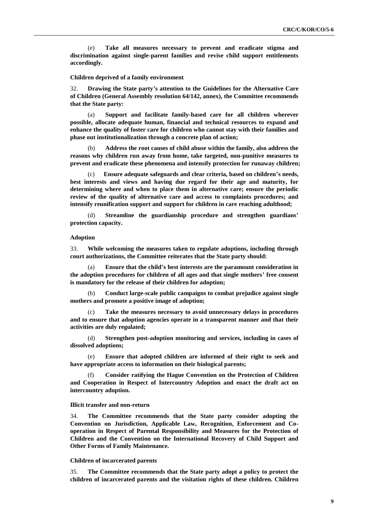(e) **Take all measures necessary to prevent and eradicate stigma and discrimination against single-parent families and revise child support entitlements accordingly.**

#### **Children deprived of a family environment**

32. **Drawing the State party's attention to the Guidelines for the Alternative Care of Children (General Assembly resolution 64/142, annex), the Committee recommends that the State party:**

(a) **Support and facilitate family-based care for all children wherever possible, allocate adequate human, financial and technical resources to expand and enhance the quality of foster care for children who cannot stay with their families and phase out institutionalization through a concrete plan of action;** 

(b) **Address the root causes of child abuse within the family, also address the reasons why children run away from home, take targeted, non-punitive measures to prevent and eradicate these phenomena and intensify protection for runaway children;** 

(c) **Ensure adequate safeguards and clear criteria, based on children's needs, best interests and views and having due regard for their age and maturity, for determining where and when to place them in alternative care; ensure the periodic review of the quality of alternative care and access to complaints procedures; and intensify reunification support and support for children in care reaching adulthood;**

(d) **Streamline the guardianship procedure and strengthen guardians' protection capacity.**

#### **Adoption**

33. **While welcoming the measures taken to regulate adoptions, including through court authorizations, the Committee reiterates that the State party should:**

(a) **Ensure that the child's best interests are the paramount consideration in the adoption procedures for children of all ages and that single mothers' free consent is mandatory for the release of their children for adoption;** 

(b) **Conduct large-scale public campaigns to combat prejudice against single mothers and promote a positive image of adoption;** 

(c) **Take the measures necessary to avoid unnecessary delays in procedures and to ensure that adoption agencies operate in a transparent manner and that their activities are duly regulated;**

(d) **Strengthen post-adoption monitoring and services, including in cases of dissolved adoptions;**

(e) **Ensure that adopted children are informed of their right to seek and have appropriate access to information on their biological parents;** 

(f) **Consider ratifying the Hague Convention on the Protection of Children and Cooperation in Respect of Intercountry Adoption and enact the draft act on intercountry adoption.** 

#### **Illicit transfer and non-return**

34. **The Committee recommends that the State party consider adopting the Convention on Jurisdiction, Applicable Law, Recognition, Enforcement and Cooperation in Respect of Parental Responsibility and Measures for the Protection of Children and the Convention on the International Recovery of Child Support and Other Forms of Family Maintenance.**

#### **Children of incarcerated parents**

35. **The Committee recommends that the State party adopt a policy to protect the children of incarcerated parents and the visitation rights of these children. Children**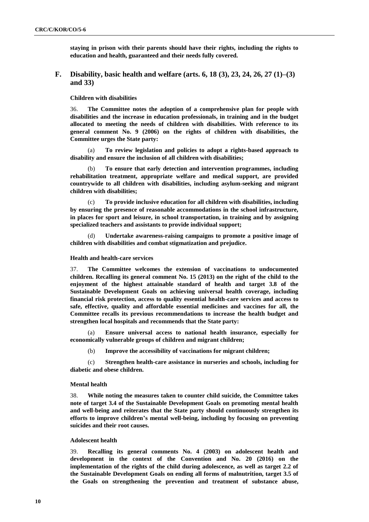**staying in prison with their parents should have their rights, including the rights to education and health, guaranteed and their needs fully covered.**

## **F. Disability, basic health and welfare (arts. 6, 18 (3), 23, 24, 26, 27 (1)–(3) and 33)**

**Children with disabilities**

36. **The Committee notes the adoption of a comprehensive plan for people with disabilities and the increase in education professionals, in training and in the budget allocated to meeting the needs of children with disabilities. With reference to its general comment No. 9 (2006) on the rights of children with disabilities, the Committee urges the State party:**

(a) **To review legislation and policies to adopt a rights-based approach to disability and ensure the inclusion of all children with disabilities;**

(b) **To ensure that early detection and intervention programmes, including rehabilitation treatment, appropriate welfare and medical support, are provided countrywide to all children with disabilities, including asylum-seeking and migrant children with disabilities;**

(c) **To provide inclusive education for all children with disabilities, including by ensuring the presence of reasonable accommodations in the school infrastructure, in places for sport and leisure, in school transportation, in training and by assigning specialized teachers and assistants to provide individual support;** 

Undertake awareness-raising campaigns to promote a positive image of **children with disabilities and combat stigmatization and prejudice.**

#### **Health and health-care services**

37. **The Committee welcomes the extension of vaccinations to undocumented children. Recalling its general comment No. 15 (2013) on the right of the child to the enjoyment of the highest attainable standard of health and target 3.8 of the Sustainable Development Goals on achieving universal health coverage, including financial risk protection, access to quality essential health-care services and access to safe, effective, quality and affordable essential medicines and vaccines for all, the Committee recalls its previous recommendations to increase the health budget and strengthen local hospitals and recommends that the State party:**

(a) **Ensure universal access to national health insurance, especially for economically vulnerable groups of children and migrant children;** 

(b) **Improve the accessibility of vaccinations for migrant children;** 

(c) **Strengthen health-care assistance in nurseries and schools, including for diabetic and obese children.** 

#### **Mental health**

38. **While noting the measures taken to counter child suicide, the Committee takes note of target 3.4 of the Sustainable Development Goals on promoting mental health and well-being and reiterates that the State party should continuously strengthen its efforts to improve children's mental well-being, including by focusing on preventing suicides and their root causes.** 

#### **Adolescent health**

39. **Recalling its general comments No. 4 (2003) on adolescent health and development in the context of the Convention and No. 20 (2016) on the implementation of the rights of the child during adolescence, as well as target 2.2 of the Sustainable Development Goals on ending all forms of malnutrition, target 3.5 of the Goals on strengthening the prevention and treatment of substance abuse,**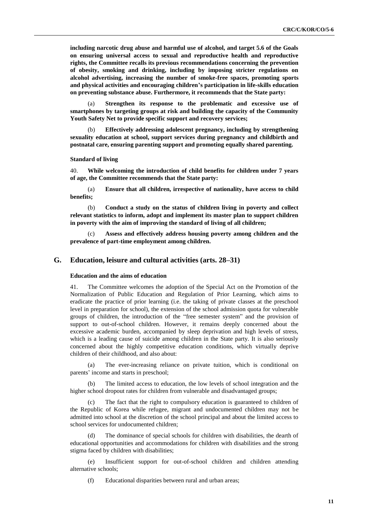**including narcotic drug abuse and harmful use of alcohol, and target 5.6 of the Goals on ensuring universal access to sexual and reproductive health and reproductive rights, the Committee recalls its previous recommendations concerning the prevention of obesity, smoking and drinking, including by imposing stricter regulations on alcohol advertising, increasing the number of smoke-free spaces, promoting sports and physical activities and encouraging children's participation in life-skills education on preventing substance abuse. Furthermore, it recommends that the State party:** 

(a) **Strengthen its response to the problematic and excessive use of smartphones by targeting groups at risk and building the capacity of the Community Youth Safety Net to provide specific support and recovery services;**

(b) **Effectively addressing adolescent pregnancy, including by strengthening sexuality education at school, support services during pregnancy and childbirth and postnatal care, ensuring parenting support and promoting equally shared parenting.**

#### **Standard of living**

40. **While welcoming the introduction of child benefits for children under 7 years of age, the Committee recommends that the State party:** 

(a) **Ensure that all children, irrespective of nationality, have access to child benefits;** 

(b) **Conduct a study on the status of children living in poverty and collect relevant statistics to inform, adopt and implement its master plan to support children in poverty with the aim of improving the standard of living of all children;**

(c) **Assess and effectively address housing poverty among children and the prevalence of part-time employment among children.**

#### **G. Education, leisure and cultural activities (arts. 28–31)**

#### **Education and the aims of education**

41. The Committee welcomes the adoption of the Special Act on the Promotion of the Normalization of Public Education and Regulation of Prior Learning, which aims to eradicate the practice of prior learning (i.e. the taking of private classes at the preschool level in preparation for school), the extension of the school admission quota for vulnerable groups of children, the introduction of the "free semester system" and the provision of support to out-of-school children. However, it remains deeply concerned about the excessive academic burden, accompanied by sleep deprivation and high levels of stress, which is a leading cause of suicide among children in the State party. It is also seriously concerned about the highly competitive education conditions, which virtually deprive children of their childhood, and also about:

The ever-increasing reliance on private tuition, which is conditional on parents' income and starts in preschool;

(b) The limited access to education, the low levels of school integration and the higher school dropout rates for children from vulnerable and disadvantaged groups;

(c) The fact that the right to compulsory education is guaranteed to children of the Republic of Korea while refugee, migrant and undocumented children may not be admitted into school at the discretion of the school principal and about the limited access to school services for undocumented children;

(d) The dominance of special schools for children with disabilities, the dearth of educational opportunities and accommodations for children with disabilities and the strong stigma faced by children with disabilities;

(e) Insufficient support for out-of-school children and children attending alternative schools;

(f) Educational disparities between rural and urban areas;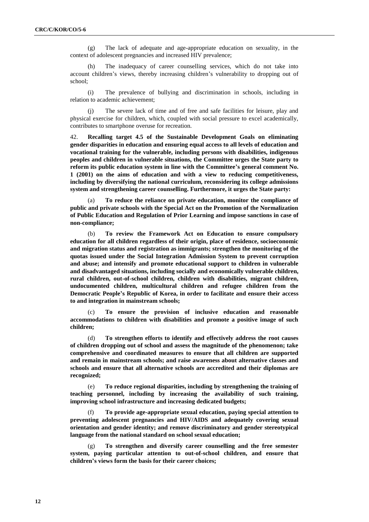(g) The lack of adequate and age-appropriate education on sexuality, in the context of adolescent pregnancies and increased HIV prevalence;

(h) The inadequacy of career counselling services, which do not take into account children's views, thereby increasing children's vulnerability to dropping out of school;

(i) The prevalence of bullying and discrimination in schools, including in relation to academic achievement;

(j) The severe lack of time and of free and safe facilities for leisure, play and physical exercise for children, which, coupled with social pressure to excel academically, contributes to smartphone overuse for recreation.

42. **Recalling target 4.5 of the Sustainable Development Goals on eliminating gender disparities in education and ensuring equal access to all levels of education and vocational training for the vulnerable, including persons with disabilities, indigenous peoples and children in vulnerable situations, the Committee urges the State party to reform its public education system in line with the Committee's general comment No. 1 (2001) on the aims of education and with a view to reducing competitiveness, including by diversifying the national curriculum, reconsidering its college admissions system and strengthening career counselling. Furthermore, it urges the State party:**

To reduce the reliance on private education, monitor the compliance of **public and private schools with the Special Act on the Promotion of the Normalization of Public Education and Regulation of Prior Learning and impose sanctions in case of non-compliance;**

(b) **To review the Framework Act on Education to ensure compulsory education for all children regardless of their origin, place of residence, socioeconomic and migration status and registration as immigrants; strengthen the monitoring of the quotas issued under the Social Integration Admission System to prevent corruption and abuse; and intensify and promote educational support to children in vulnerable and disadvantaged situations, including socially and economically vulnerable children, rural children, out-of-school children, children with disabilities, migrant children, undocumented children, multicultural children and refugee children from the Democratic People's Republic of Korea, in order to facilitate and ensure their access to and integration in mainstream schools;** 

(c) **To ensure the provision of inclusive education and reasonable accommodations to children with disabilities and promote a positive image of such children;** 

(d) **To strengthen efforts to identify and effectively address the root causes of children dropping out of school and assess the magnitude of the phenomenon; take comprehensive and coordinated measures to ensure that all children are supported and remain in mainstream schools; and raise awareness about alternative classes and schools and ensure that all alternative schools are accredited and their diplomas are recognized;** 

(e) **To reduce regional disparities, including by strengthening the training of teaching personnel, including by increasing the availability of such training, improving school infrastructure and increasing dedicated budgets;** 

(f) **To provide age-appropriate sexual education, paying special attention to preventing adolescent pregnancies and HIV/AIDS and adequately covering sexual orientation and gender identity; and remove discriminatory and gender stereotypical language from the national standard on school sexual education;** 

(g) **To strengthen and diversify career counselling and the free semester system, paying particular attention to out-of-school children, and ensure that children's views form the basis for their career choices;**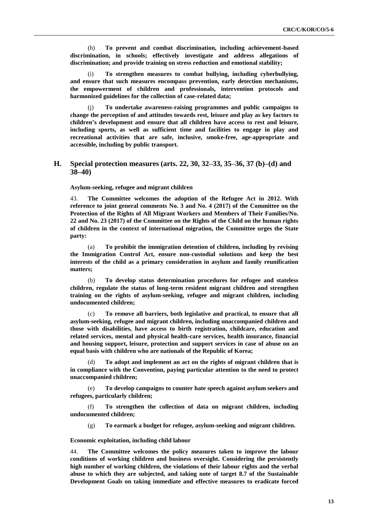(h) **To prevent and combat discrimination, including achievement-based discrimination, in schools; effectively investigate and address allegations of discrimination; and provide training on stress reduction and emotional stability;**

(i) **To strengthen measures to combat bullying, including cyberbullying, and ensure that such measures encompass prevention, early detection mechanisms, the empowerment of children and professionals, intervention protocols and harmonized guidelines for the collection of case-related data;**

(j) **To undertake awareness-raising programmes and public campaigns to change the perception of and attitudes towards rest, leisure and play as key factors to children's development and ensure that all children have access to rest and leisure, including sports, as well as sufficient time and facilities to engage in play and recreational activities that are safe, inclusive, smoke-free, age-appropriate and accessible, including by public transport.** 

## **H. Special protection measures (arts. 22, 30, 32–33, 35–36, 37 (b)–(d) and 38–40)**

**Asylum-seeking, refugee and migrant children**

43. **The Committee welcomes the adoption of the Refugee Act in 2012. With reference to joint general comments No. 3 and No. 4 (2017) of the Committee on the Protection of the Rights of All Migrant Workers and Members of Their Families/No. 22 and No. 23 (2017) of the Committee on the Rights of the Child on the human rights of children in the context of international migration, the Committee urges the State party:** 

(a) **To prohibit the immigration detention of children, including by revising the Immigration Control Act, ensure non-custodial solutions and keep the best interests of the child as a primary consideration in asylum and family reunification matters;** 

(b) **To develop status determination procedures for refugee and stateless children, regulate the status of long-term resident migrant children and strengthen training on the rights of asylum-seeking, refugee and migrant children, including undocumented children;**

(c) **To remove all barriers, both legislative and practical, to ensure that all asylum-seeking, refugee and migrant children, including unaccompanied children and those with disabilities, have access to birth registration, childcare, education and related services, mental and physical health-care services, health insurance, financial and housing support, leisure, protection and support services in case of abuse on an equal basis with children who are nationals of the Republic of Korea;**

(d) **To adopt and implement an act on the rights of migrant children that is in compliance with the Convention, paying particular attention to the need to protect unaccompanied children;**

(e) **To develop campaigns to counter hate speech against asylum seekers and refugees, particularly children;**

(f) **To strengthen the collection of data on migrant children, including undocumented children;**

(g) **To earmark a budget for refugee, asylum-seeking and migrant children.** 

**Economic exploitation, including child labour**

44. **The Committee welcomes the policy measures taken to improve the labour conditions of working children and business oversight. Considering the persistently high number of working children, the violations of their labour rights and the verbal abuse to which they are subjected, and taking note of target 8.7 of the Sustainable Development Goals on taking immediate and effective measures to eradicate forced**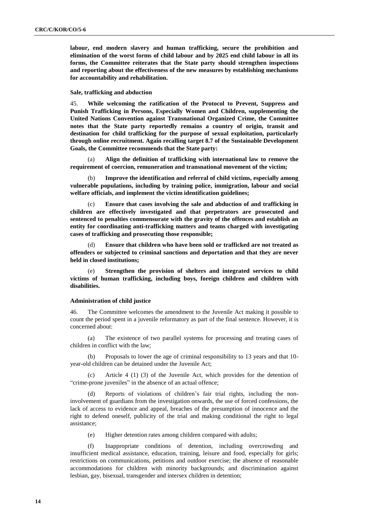**labour, end modern slavery and human trafficking, secure the prohibition and elimination of the worst forms of child labour and by 2025 end child labour in all its forms, the Committee reiterates that the State party should strengthen inspections and reporting about the effectiveness of the new measures by establishing mechanisms for accountability and rehabilitation.** 

### **Sale, trafficking and abduction**

45. **While welcoming the ratification of the Protocol to Prevent, Suppress and Punish Trafficking in Persons, Especially Women and Children, supplementing the United Nations Convention against Transnational Organized Crime, the Committee notes that the State party reportedly remains a country of origin, transit and destination for child trafficking for the purpose of sexual exploitation, particularly through online recruitment. Again recalling target 8.7 of the Sustainable Development Goals, the Committee recommends that the State party:**

(a) **Align the definition of trafficking with international law to remove the requirement of coercion, remuneration and transnational movement of the victim;**

(b) **Improve the identification and referral of child victims, especially among vulnerable populations, including by training police, immigration, labour and social welfare officials, and implement the victim identification guidelines;**

(c) **Ensure that cases involving the sale and abduction of and trafficking in children are effectively investigated and that perpetrators are prosecuted and sentenced to penalties commensurate with the gravity of the offences and establish an entity for coordinating anti-trafficking matters and teams charged with investigating cases of trafficking and prosecuting those responsible;**

Ensure that children who have been sold or trafficked are not treated as **offenders or subjected to criminal sanctions and deportation and that they are never held in closed institutions;** 

(e) **Strengthen the provision of shelters and integrated services to child victims of human trafficking, including boys, foreign children and children with disabilities.**

#### **Administration of child justice**

46. The Committee welcomes the amendment to the Juvenile Act making it possible to count the period spent in a juvenile reformatory as part of the final sentence. However, it is concerned about:

(a) The existence of two parallel systems for processing and treating cases of children in conflict with the law;

(b) Proposals to lower the age of criminal responsibility to 13 years and that 10 year-old children can be detained under the Juvenile Act;

Article 4 (1) (3) of the Juvenile Act, which provides for the detention of "crime-prone juveniles" in the absence of an actual offence;

(d) Reports of violations of children's fair trial rights, including the noninvolvement of guardians from the investigation onwards, the use of forced confessions, the lack of access to evidence and appeal, breaches of the presumption of innocence and the right to defend oneself, publicity of the trial and making conditional the right to legal assistance;

(e) Higher detention rates among children compared with adults;

(f) Inappropriate conditions of detention, including overcrowding and insufficient medical assistance, education, training, leisure and food, especially for girls; restrictions on communications, petitions and outdoor exercise; the absence of reasonable accommodations for children with minority backgrounds; and discrimination against lesbian, gay, bisexual, transgender and intersex children in detention;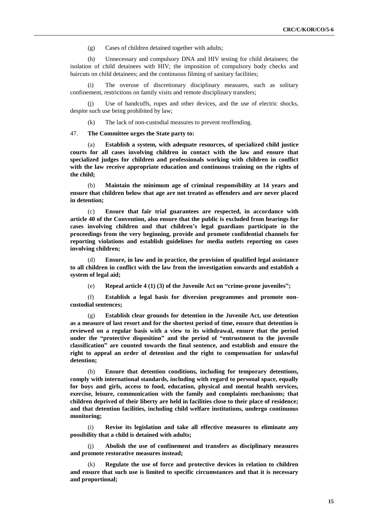(g) Cases of children detained together with adults;

(h) Unnecessary and compulsory DNA and HIV testing for child detainees; the isolation of child detainees with HIV; the imposition of compulsory body checks and haircuts on child detainees; and the continuous filming of sanitary facilities;

(i) The overuse of discretionary disciplinary measures, such as solitary confinement, restrictions on family visits and remote disciplinary transfers;

(j) Use of handcuffs, ropes and other devices, and the use of electric shocks, despite such use being prohibited by law;

(k) The lack of non-custodial measures to prevent reoffending.

47. **The Committee urges the State party to:** 

(a) **Establish a system, with adequate resources, of specialized child justice courts for all cases involving children in contact with the law and ensure that specialized judges for children and professionals working with children in conflict with the law receive appropriate education and continuous training on the rights of the child;** 

(b) **Maintain the minimum age of criminal responsibility at 14 years and ensure that children below that age are not treated as offenders and are never placed in detention;**

(c) **Ensure that fair trial guarantees are respected, in accordance with article 40 of the Convention, also ensure that the public is excluded from hearings for cases involving children and that children's legal guardians participate in the proceedings from the very beginning, provide and promote confidential channels for reporting violations and establish guidelines for media outlets reporting on cases involving children;** 

(d) **Ensure, in law and in practice, the provision of qualified legal assistance to all children in conflict with the law from the investigation onwards and establish a system of legal aid;** 

(e) **Repeal article 4 (1) (3) of the Juvenile Act on "crime-prone juveniles";** 

(f) **Establish a legal basis for diversion programmes and promote noncustodial sentences;**

(g) **Establish clear grounds for detention in the Juvenile Act, use detention as a measure of last resort and for the shortest period of time, ensure that detention is reviewed on a regular basis with a view to its withdrawal, ensure that the period under the "protective disposition" and the period of "entrustment to the juvenile classification" are counted towards the final sentence, and establish and ensure the right to appeal an order of detention and the right to compensation for unlawful detention;** 

(h) **Ensure that detention conditions, including for temporary detentions, comply with international standards, including with regard to personal space, equally for boys and girls, access to food, education, physical and mental health services, exercise, leisure, communication with the family and complaints mechanisms; that children deprived of their liberty are held in facilities close to their place of residence; and that detention facilities, including child welfare institutions, undergo continuous monitoring;** 

(i) **Revise its legislation and take all effective measures to eliminate any possibility that a child is detained with adults;**

(j) **Abolish the use of confinement and transfers as disciplinary measures and promote restorative measures instead;**

(k) **Regulate the use of force and protective devices in relation to children and ensure that such use is limited to specific circumstances and that it is necessary and proportional;**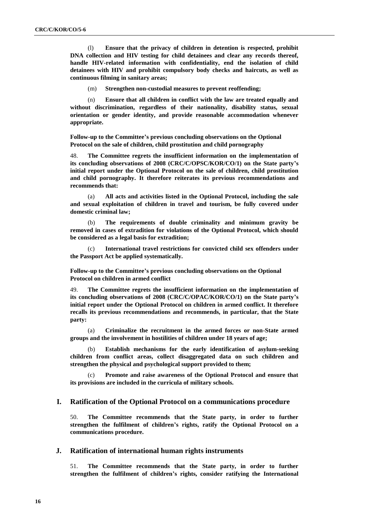(l) **Ensure that the privacy of children in detention is respected, prohibit DNA collection and HIV testing for child detainees and clear any records thereof, handle HIV-related information with confidentiality, end the isolation of child detainees with HIV and prohibit compulsory body checks and haircuts, as well as continuous filming in sanitary areas;** 

(m) **Strengthen non-custodial measures to prevent reoffending;**

(n) **Ensure that all children in conflict with the law are treated equally and without discrimination, regardless of their nationality, disability status, sexual orientation or gender identity, and provide reasonable accommodation whenever appropriate.**

**Follow-up to the Committee's previous concluding observations on the Optional Protocol on the sale of children, child prostitution and child pornography**

48. **The Committee regrets the insufficient information on the implementation of its concluding observations of 2008 (CRC/C/OPSC/KOR/CO/1) on the State party's initial report under the Optional Protocol on the sale of children, child prostitution and child pornography. It therefore reiterates its previous recommendations and recommends that:**

(a) **All acts and activities listed in the Optional Protocol, including the sale and sexual exploitation of children in travel and tourism, be fully covered under domestic criminal law;** 

(b) **The requirements of double criminality and minimum gravity be removed in cases of extradition for violations of the Optional Protocol, which should be considered as a legal basis for extradition;**

International travel restrictions for convicted child sex offenders under **the Passport Act be applied systematically.**

**Follow-up to the Committee's previous concluding observations on the Optional Protocol on children in armed conflict**

49. **The Committee regrets the insufficient information on the implementation of its concluding observations of 2008 (CRC/C/OPAC/KOR/CO/1) on the State party's initial report under the Optional Protocol on children in armed conflict. It therefore recalls its previous recommendations and recommends, in particular, that the State party:** 

(a) **Criminalize the recruitment in the armed forces or non-State armed groups and the involvement in hostilities of children under 18 years of age;** 

(b) **Establish mechanisms for the early identification of asylum-seeking children from conflict areas, collect disaggregated data on such children and strengthen the physical and psychological support provided to them;**

Promote and raise awareness of the Optional Protocol and ensure that **its provisions are included in the curricula of military schools.**

## **I. Ratification of the Optional Protocol on a communications procedure**

50. **The Committee recommends that the State party, in order to further strengthen the fulfilment of children's rights, ratify the Optional Protocol on a communications procedure.** 

## **J. Ratification of international human rights instruments**

51. **The Committee recommends that the State party, in order to further strengthen the fulfilment of children's rights, consider ratifying the International**